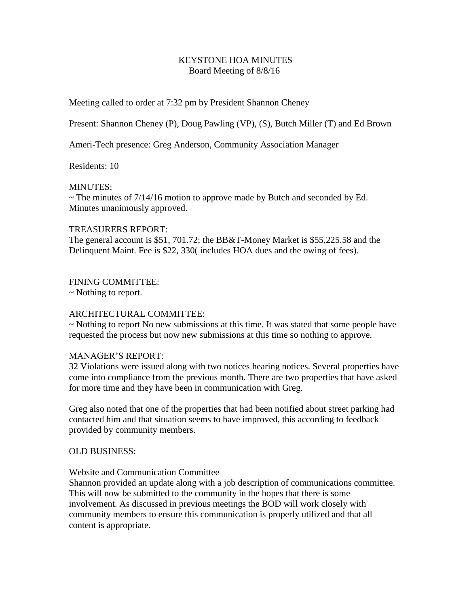# KEYSTONE HOA MINUTES Board Meeting of 8/8/16

Meeting called to order at 7:32 pm by President Shannon Cheney

Present: Shannon Cheney (P), Doug Pawling (VP), (S), Butch Miller (T) and Ed Brown

Ameri-Tech presence: Greg Anderson, Community Association Manager

Residents: 10

## MINUTES:

 $\sim$  The minutes of 7/14/16 motion to approve made by Butch and seconded by Ed. Minutes unanimously approved.

# TREASURERS REPORT:

The general account is \$51, 701.72; the BB&T-Money Market is \$55,225.58 and the Delinquent Maint. Fee is \$22, 330( includes HOA dues and the owing of fees).

# FINING COMMITTEE:

~ Nothing to report.

# ARCHITECTURAL COMMITTEE:

~ Nothing to report No new submissions at this time. It was stated that some people have requested the process but now new submissions at this time so nothing to approve.

## MANAGER'S REPORT:

32 Violations were issued along with two notices hearing notices. Several properties have come into compliance from the previous month. There are two properties that have asked for more time and they have been in communication with Greg.

Greg also noted that one of the properties that had been notified about street parking had contacted him and that situation seems to have improved, this according to feedback provided by community members.

## OLD BUSINESS:

## Website and Communication Committee

Shannon provided an update along with a job description of communications committee. This will now be submitted to the community in the hopes that there is some involvement. As discussed in previous meetings the BOD will work closely with community members to ensure this communication is properly utilized and that all content is appropriate.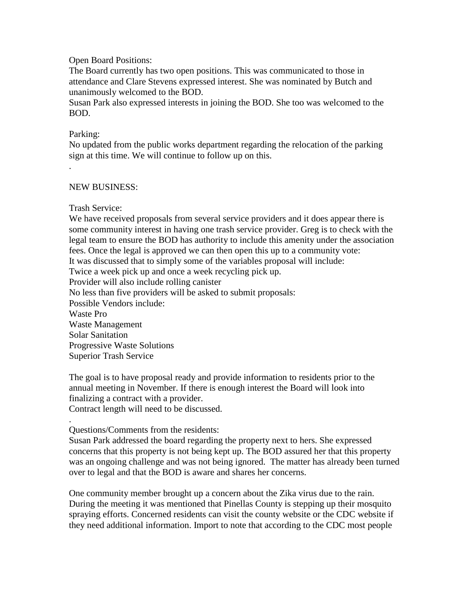#### Open Board Positions:

The Board currently has two open positions. This was communicated to those in attendance and Clare Stevens expressed interest. She was nominated by Butch and unanimously welcomed to the BOD.

Susan Park also expressed interests in joining the BOD. She too was welcomed to the BOD.

#### Parking:

.

No updated from the public works department regarding the relocation of the parking sign at this time. We will continue to follow up on this.

#### NEW BUSINESS:

#### Trash Service:

We have received proposals from several service providers and it does appear there is some community interest in having one trash service provider. Greg is to check with the legal team to ensure the BOD has authority to include this amenity under the association fees. Once the legal is approved we can then open this up to a community vote: It was discussed that to simply some of the variables proposal will include: Twice a week pick up and once a week recycling pick up. Provider will also include rolling canister No less than five providers will be asked to submit proposals: Possible Vendors include: Waste Pro Waste Management Solar Sanitation Progressive Waste Solutions Superior Trash Service

The goal is to have proposal ready and provide information to residents prior to the annual meeting in November. If there is enough interest the Board will look into finalizing a contract with a provider. Contract length will need to be discussed.

.

# Questions/Comments from the residents:

Susan Park addressed the board regarding the property next to hers. She expressed concerns that this property is not being kept up. The BOD assured her that this property was an ongoing challenge and was not being ignored. The matter has already been turned over to legal and that the BOD is aware and shares her concerns.

One community member brought up a concern about the Zika virus due to the rain. During the meeting it was mentioned that Pinellas County is stepping up their mosquito spraying efforts. Concerned residents can visit the county website or the CDC website if they need additional information. Import to note that according to the CDC most people